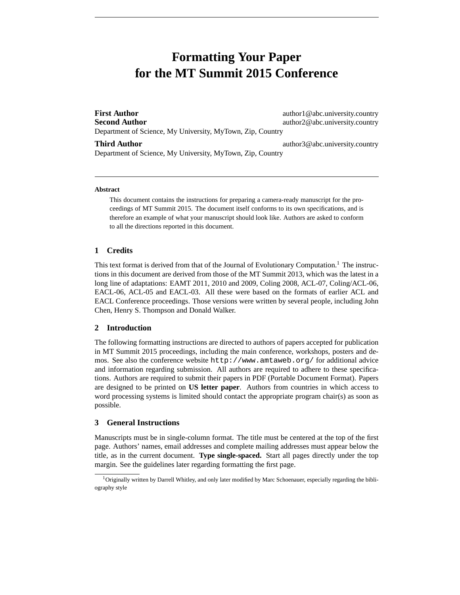# **Formatting Your Paper for the MT Summit 2015 Conference**

**First Author** author author1@abc.university.country **Second Author** author2@abc.university.country Department of Science, My University, MyTown, Zip, Country

**Third Author** author3@abc.university.country

Department of Science, My University, MyTown, Zip, Country

#### **Abstract**

This document contains the instructions for preparing a camera-ready manuscript for the proceedings of MT Summit 2015. The document itself conforms to its own specifications, and is therefore an example of what your manuscript should look like. Authors are asked to conform to all the directions reported in this document.

# **1 Credits**

This text format is derived from that of the Journal of Evolutionary Computation.<sup>1</sup> The instructions in this document are derived from those of the MT Summit 2013, which was the latest in a long line of adaptations: EAMT 2011, 2010 and 2009, Coling 2008, ACL-07, Coling/ACL-06, EACL-06, ACL-05 and EACL-03. All these were based on the formats of earlier ACL and EACL Conference proceedings. Those versions were written by several people, including John Chen, Henry S. Thompson and Donald Walker.

# **2 Introduction**

The following formatting instructions are directed to authors of papers accepted for publication in MT Summit 2015 proceedings, including the main conference, workshops, posters and demos. See also the conference website http://www.amtaweb.org/ for additional advice and information regarding submission. All authors are required to adhere to these specifications. Authors are required to submit their papers in PDF (Portable Document Format). Papers are designed to be printed on **US letter paper**. Authors from countries in which access to word processing systems is limited should contact the appropriate program chair(s) as soon as possible.

### **3 General Instructions**

Manuscripts must be in single-column format. The title must be centered at the top of the first page. Authors' names, email addresses and complete mailing addresses must appear below the title, as in the current document. **Type single-spaced.** Start all pages directly under the top margin. See the guidelines later regarding formatting the first page.

<sup>&</sup>lt;sup>1</sup>Originally written by Darrell Whitley, and only later modified by Marc Schoenauer, especially regarding the bibliography style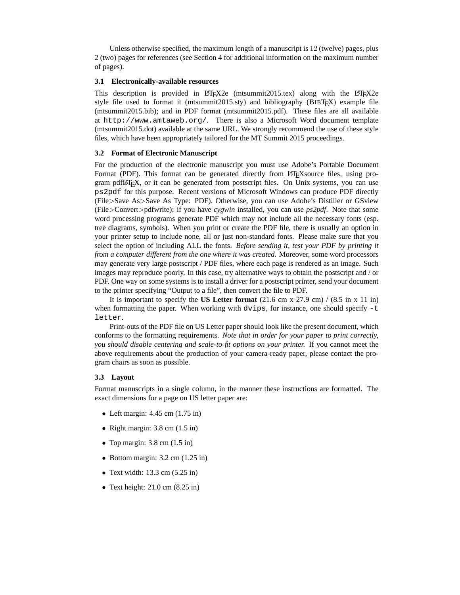Unless otherwise specified, the maximum length of a manuscript is 12 (twelve) pages, plus 2 (two) pages for references (see Section 4 for additional information on the maximum number of pages).

#### **3.1 Electronically-available resources**

This description is provided in LATEX2e (mtsummit2015.tex) along with the LATEX2e style file used to format it (mtsummit2015.sty) and bibliography (BIBTEX) example file (mtsummit2015.bib); and in PDF format (mtsummit2015.pdf). These files are all available at http://www.amtaweb.org/. There is also a Microsoft Word document template (mtsummit2015.dot) available at the same URL. We strongly recommend the use of these style files, which have been appropriately tailored for the MT Summit 2015 proceedings.

#### **3.2 Format of Electronic Manuscript**

For the production of the electronic manuscript you must use Adobe's Portable Document Format (PDF). This format can be generated directly from LATEX source files, using program pdfLATEX, or it can be generated from postscript files. On Unix systems, you can use ps2pdf for this purpose. Recent versions of Microsoft Windows can produce PDF directly (File>Save As>Save As Type: PDF). Otherwise, you can use Adobe's Distiller or GSview (File>Convert>pdfwrite); if you have *cygwin* installed, you can use *ps2pdf*. Note that some word processing programs generate PDF which may not include all the necessary fonts (esp. tree diagrams, symbols). When you print or create the PDF file, there is usually an option in your printer setup to include none, all or just non-standard fonts. Please make sure that you select the option of including ALL the fonts. *Before sending it, test your PDF by printing it from a computer different from the one where it was created.* Moreover, some word processors may generate very large postscript / PDF files, where each page is rendered as an image. Such images may reproduce poorly. In this case, try alternative ways to obtain the postscript and / or PDF. One way on some systems is to install a driver for a postscript printer, send your document to the printer specifying "Output to a file", then convert the file to PDF.

It is important to specify the **US Letter format** (21.6 cm x 27.9 cm) / (8.5 in x 11 in) when formatting the paper. When working with  $dvips$ , for instance, one should specify  $-t$ letter.

Print-outs of the PDF file on US Letter paper should look like the present document, which conforms to the formatting requirements. *Note that in order for your paper to print correctly, you should disable centering and scale-to-fit options on your printer.* If you cannot meet the above requirements about the production of your camera-ready paper, please contact the program chairs as soon as possible.

#### **3.3 Layout**

Format manuscripts in a single column, in the manner these instructions are formatted. The exact dimensions for a page on US letter paper are:

- Left margin:  $4.45$  cm  $(1.75 \text{ in})$
- Right margin:  $3.8 \text{ cm}$  (1.5 in)
- Top margin:  $3.8 \text{ cm } (1.5 \text{ in})$
- Bottom margin: 3.2 cm (1.25 in)
- Text width:  $13.3 \text{ cm}$  (5.25 in)
- Text height:  $21.0 \text{ cm}$  (8.25 in)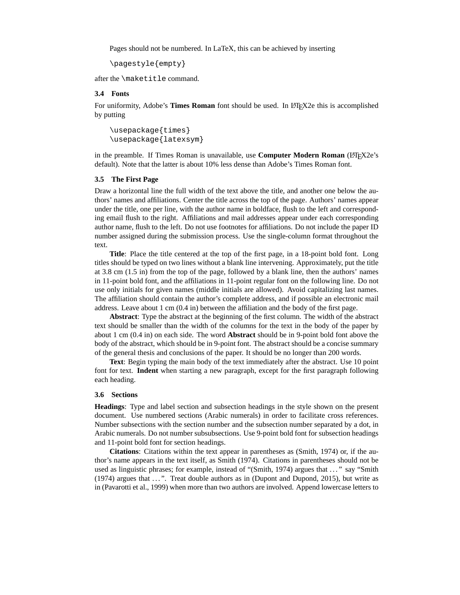Pages should not be numbered. In LaTeX, this can be achieved by inserting

```
\pagestyle{empty}
```
after the \maketitle command.

#### **3.4 Fonts**

For uniformity, Adobe's **Times Roman** font should be used. In LATEX2e this is accomplished by putting

```
\usepackage{times}
\usepackage{latexsym}
```
in the preamble. If Times Roman is unavailable, use **Computer Modern Roman** (L<sup>2</sup>T<sub>E</sub>X2e's default). Note that the latter is about 10% less dense than Adobe's Times Roman font.

#### **3.5 The First Page**

Draw a horizontal line the full width of the text above the title, and another one below the authors' names and affiliations. Center the title across the top of the page. Authors' names appear under the title, one per line, with the author name in boldface, flush to the left and corresponding email flush to the right. Affiliations and mail addresses appear under each corresponding author name, flush to the left. Do not use footnotes for affiliations. Do not include the paper ID number assigned during the submission process. Use the single-column format throughout the text.

**Title**: Place the title centered at the top of the first page, in a 18-point bold font. Long titles should be typed on two lines without a blank line intervening. Approximately, put the title at 3.8 cm (1.5 in) from the top of the page, followed by a blank line, then the authors' names in 11-point bold font, and the affiliations in 11-point regular font on the following line. Do not use only initials for given names (middle initials are allowed). Avoid capitalizing last names. The affiliation should contain the author's complete address, and if possible an electronic mail address. Leave about 1 cm (0.4 in) between the affiliation and the body of the first page.

**Abstract**: Type the abstract at the beginning of the first column. The width of the abstract text should be smaller than the width of the columns for the text in the body of the paper by about 1 cm (0.4 in) on each side. The word **Abstract** should be in 9-point bold font above the body of the abstract, which should be in 9-point font. The abstract should be a concise summary of the general thesis and conclusions of the paper. It should be no longer than 200 words.

**Text**: Begin typing the main body of the text immediately after the abstract. Use 10 point font for text. **Indent** when starting a new paragraph, except for the first paragraph following each heading.

#### **3.6 Sections**

**Headings**: Type and label section and subsection headings in the style shown on the present document. Use numbered sections (Arabic numerals) in order to facilitate cross references. Number subsections with the section number and the subsection number separated by a dot, in Arabic numerals. Do not number subsubsections. Use 9-point bold font for subsection headings and 11-point bold font for section headings.

**Citations**: Citations within the text appear in parentheses as (Smith, 1974) or, if the author's name appears in the text itself, as Smith (1974). Citations in parentheses should not be used as linguistic phrases; for example, instead of "(Smith, 1974) argues that . . . " say "Smith (1974) argues that . . . ". Treat double authors as in (Dupont and Dupond, 2015), but write as in (Pavarotti et al., 1999) when more than two authors are involved. Append lowercase letters to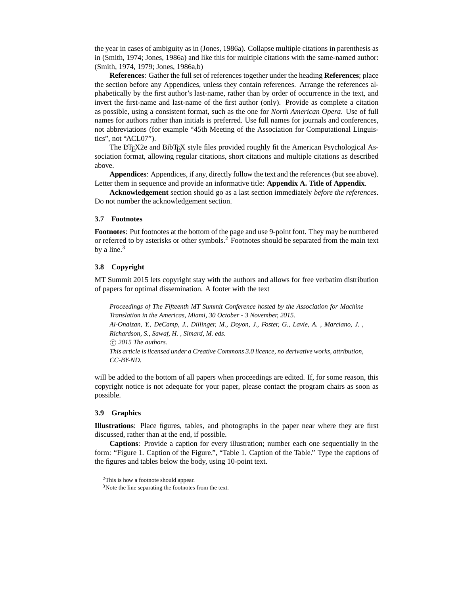the year in cases of ambiguity as in (Jones, 1986a). Collapse multiple citations in parenthesis as in (Smith, 1974; Jones, 1986a) and like this for multiple citations with the same-named author: (Smith, 1974, 1979; Jones, 1986a,b)

**References**: Gather the full set of references together under the heading **References**; place the section before any Appendices, unless they contain references. Arrange the references alphabetically by the first author's last-name, rather than by order of occurrence in the text, and invert the first-name and last-name of the first author (only). Provide as complete a citation as possible, using a consistent format, such as the one for *North American Opera*. Use of full names for authors rather than initials is preferred. Use full names for journals and conferences, not abbreviations (for example "45th Meeting of the Association for Computational Linguistics", not "ACL07").

The LATEX2e and BibTEX style files provided roughly fit the American Psychological Association format, allowing regular citations, short citations and multiple citations as described above.

**Appendices**: Appendices, if any, directly follow the text and the references (but see above). Letter them in sequence and provide an informative title: **Appendix A. Title of Appendix**.

**Acknowledgement** section should go as a last section immediately *before the references*. Do not number the acknowledgement section.

#### **3.7 Footnotes**

**Footnotes**: Put footnotes at the bottom of the page and use 9-point font. They may be numbered or referred to by asterisks or other symbols.<sup>2</sup> Footnotes should be separated from the main text by a line. $3$ 

### **3.8 Copyright**

MT Summit 2015 lets copyright stay with the authors and allows for free verbatim distribution of papers for optimal dissemination. A footer with the text

*Proceedings of The Fifteenth MT Summit Conference hosted by the Association for Machine Translation in the Americas, Miami, 30 October - 3 November, 2015. Al-Onaizan, Y., DeCamp, J., Dillinger, M., Doyon, J., Foster, G., Lavie, A. , Marciano, J. , Richardson, S., Sawaf, H. , Simard, M. eds.* °c *2015 The authors. This article is licensed under a Creative Commons 3.0 licence, no derivative works, attribution, CC-BY-ND.*

will be added to the bottom of all papers when proceedings are edited. If, for some reason, this copyright notice is not adequate for your paper, please contact the program chairs as soon as possible.

#### **3.9 Graphics**

**Illustrations**: Place figures, tables, and photographs in the paper near where they are first discussed, rather than at the end, if possible.

**Captions**: Provide a caption for every illustration; number each one sequentially in the form: "Figure 1. Caption of the Figure.", "Table 1. Caption of the Table." Type the captions of the figures and tables below the body, using 10-point text.

<sup>2</sup>This is how a footnote should appear.

<sup>&</sup>lt;sup>3</sup>Note the line separating the footnotes from the text.